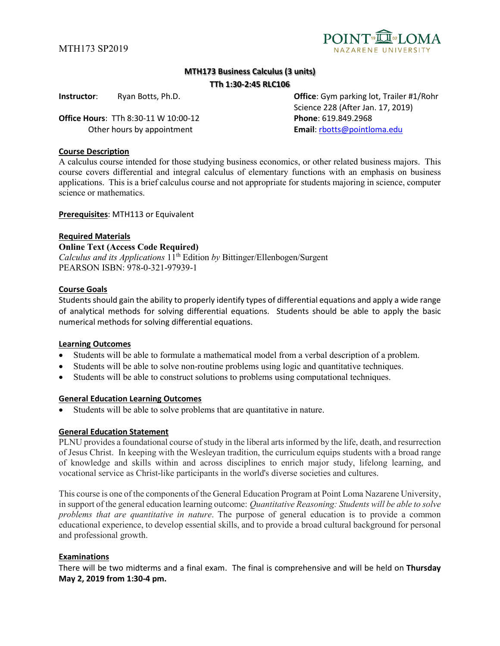

# **MTH173 Business Calculus (3 units)**

#### **TTh 1:30-2:45 RLC106**

**Office Hours**: TTh 8:30-11 W 10:00-12 **Phone**: 619.849.2968 Other hours by appointment **Email**[: rbotts@pointloma.edu](mailto:rbotts@pointloma.edu)

**Instructor**: Ryan Botts, Ph.D. **Office**: Gym parking lot, Trailer #1/Rohr Science 228 (After Jan. 17, 2019)

# **Course Description**

A calculus course intended for those studying business economics, or other related business majors. This course covers differential and integral calculus of elementary functions with an emphasis on business applications. This is a brief calculus course and not appropriate for students majoring in science, computer science or mathematics.

#### **Prerequisites**: MTH113 or Equivalent

#### **Required Materials**

**Online Text (Access Code Required)** *Calculus and its Applications*  $1\hat{1}^{\text{th}}$  Edition *by Bittinger*/Ellenbogen/Surgent PEARSON ISBN: 978-0-321-97939-1

# **Course Goals**

Students should gain the ability to properly identify types of differential equations and apply a wide range of analytical methods for solving differential equations. Students should be able to apply the basic numerical methods for solving differential equations.

#### **Learning Outcomes**

- Students will be able to formulate a mathematical model from a verbal description of a problem.
- Students will be able to solve non-routine problems using logic and quantitative techniques.
- Students will be able to construct solutions to problems using computational techniques.

#### **General Education Learning Outcomes**

Students will be able to solve problems that are quantitative in nature.

#### **General Education Statement**

PLNU provides a foundational course of study in the liberal arts informed by the life, death, and resurrection of Jesus Christ. In keeping with the Wesleyan tradition, the curriculum equips students with a broad range of knowledge and skills within and across disciplines to enrich major study, lifelong learning, and vocational service as Christ-like participants in the world's diverse societies and cultures.

This course is one of the components of the General Education Program at Point Loma Nazarene University, in support of the general education learning outcome: *Quantitative Reasoning: Students will be able to solve problems that are quantitative in nature*. The purpose of general education is to provide a common educational experience, to develop essential skills, and to provide a broad cultural background for personal and professional growth.

# **Examinations**

There will be two midterms and a final exam. The final is comprehensive and will be held on **Thursday May 2, 2019 from 1:30-4 pm.**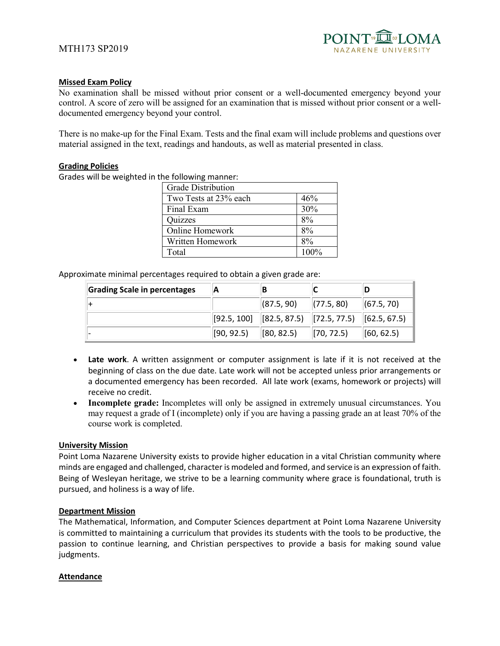# **Missed Exam Policy**

No examination shall be missed without prior consent or a well-documented emergency beyond your control. A score of zero will be assigned for an examination that is missed without prior consent or a welldocumented emergency beyond your control.

There is no make-up for the Final Exam. Tests and the final exam will include problems and questions over material assigned in the text, readings and handouts, as well as material presented in class.

#### **Grading Policies**

Grades will be weighted in the following manner:

| <b>Grade Distribution</b> |         |
|---------------------------|---------|
| Two Tests at 23% each     | 46%     |
| Final Exam                | 30%     |
| Quizzes                   | 8%      |
| Online Homework           | 8%      |
| Written Homework          | $8\%$   |
| Total                     | $100\%$ |

Approximate minimal percentages required to obtain a given grade are:

| Grading Scale in percentages | IА         |                                                                                                                                                                                                                                  |                             |            |
|------------------------------|------------|----------------------------------------------------------------------------------------------------------------------------------------------------------------------------------------------------------------------------------|-----------------------------|------------|
|                              |            | (87.5, 90)                                                                                                                                                                                                                       | (77.5, 80)                  | (67.5, 70) |
|                              |            | $\left  \begin{bmatrix} 92.5, 100 \end{bmatrix} \right  \left  \begin{bmatrix} 82.5, 87.5 \end{bmatrix} \right  \left  \begin{bmatrix} 72.5, 77.5 \end{bmatrix} \right  \left  \begin{bmatrix} 62.5, 67.5 \end{bmatrix} \right $ |                             |            |
|                              | (90, 92.5) | (80, 82.5)                                                                                                                                                                                                                       | $\left  \right $ [70, 72.5) | (60, 62.5) |

- **Late work**. A written assignment or computer assignment is late if it is not received at the beginning of class on the due date. Late work will not be accepted unless prior arrangements or a documented emergency has been recorded. All late work (exams, homework or projects) will receive no credit.
- **Incomplete grade:** Incompletes will only be assigned in extremely unusual circumstances. You may request a grade of I (incomplete) only if you are having a passing grade an at least 70% of the course work is completed.

#### **University Mission**

Point Loma Nazarene University exists to provide higher education in a vital Christian community where minds are engaged and challenged, character is modeled and formed, and service is an expression of faith. Being of Wesleyan heritage, we strive to be a learning community where grace is foundational, truth is pursued, and holiness is a way of life.

#### **Department Mission**

The Mathematical, Information, and Computer Sciences department at Point Loma Nazarene University is committed to maintaining a curriculum that provides its students with the tools to be productive, the passion to continue learning, and Christian perspectives to provide a basis for making sound value judgments.

#### **Attendance**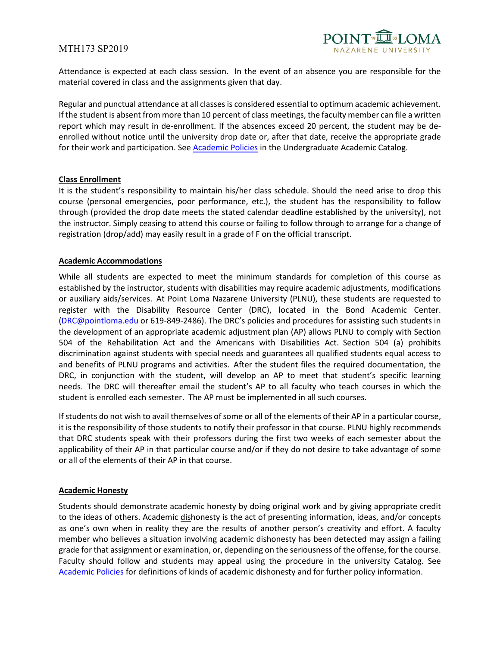# MTH173 SP2019



Attendance is expected at each class session. In the event of an absence you are responsible for the material covered in class and the assignments given that day.

Regular and punctual attendance at all classes is considered essential to optimum academic achievement. If the student is absent from more than 10 percent of class meetings, the faculty member can file a written report which may result in de-enrollment. If the absences exceed 20 percent, the student may be deenrolled without notice until the university drop date or, after that date, receive the appropriate grade for their work and participation. See [Academic Policies](http://catalog.pointloma.edu/content.php?catoid=18&navoid=1278) in the Undergraduate Academic Catalog.

# **Class Enrollment**

It is the student's responsibility to maintain his/her class schedule. Should the need arise to drop this course (personal emergencies, poor performance, etc.), the student has the responsibility to follow through (provided the drop date meets the stated calendar deadline established by the university), not the instructor. Simply ceasing to attend this course or failing to follow through to arrange for a change of registration (drop/add) may easily result in a grade of F on the official transcript.

# **Academic Accommodations**

While all students are expected to meet the minimum standards for completion of this course as established by the instructor, students with disabilities may require academic adjustments, modifications or auxiliary aids/services. At Point Loma Nazarene University (PLNU), these students are requested to register with the Disability Resource Center (DRC), located in the Bond Academic Center. [\(DRC@pointloma.edu](mailto:DRC@pointloma.edu) or 619-849-2486). The DRC's policies and procedures for assisting such students in the development of an appropriate academic adjustment plan (AP) allows PLNU to comply with Section 504 of the Rehabilitation Act and the Americans with Disabilities Act. Section 504 (a) prohibits discrimination against students with special needs and guarantees all qualified students equal access to and benefits of PLNU programs and activities. After the student files the required documentation, the DRC, in conjunction with the student, will develop an AP to meet that student's specific learning needs. The DRC will thereafter email the student's AP to all faculty who teach courses in which the student is enrolled each semester. The AP must be implemented in all such courses.

If students do not wish to avail themselves of some or all of the elements of their AP in a particular course, it is the responsibility of those students to notify their professor in that course. PLNU highly recommends that DRC students speak with their professors during the first two weeks of each semester about the applicability of their AP in that particular course and/or if they do not desire to take advantage of some or all of the elements of their AP in that course.

#### **Academic Honesty**

Students should demonstrate academic honesty by doing original work and by giving appropriate credit to the ideas of others. Academic dishonesty is the act of presenting information, ideas, and/or concepts as one's own when in reality they are the results of another person's creativity and effort. A faculty member who believes a situation involving academic dishonesty has been detected may assign a failing grade for that assignment or examination, or, depending on the seriousness of the offense, for the course. Faculty should follow and students may appeal using the procedure in the university Catalog. See [Academic Policies](http://catalog.pointloma.edu/content.php?catoid=18&navoid=1278) for definitions of kinds of academic dishonesty and for further policy information.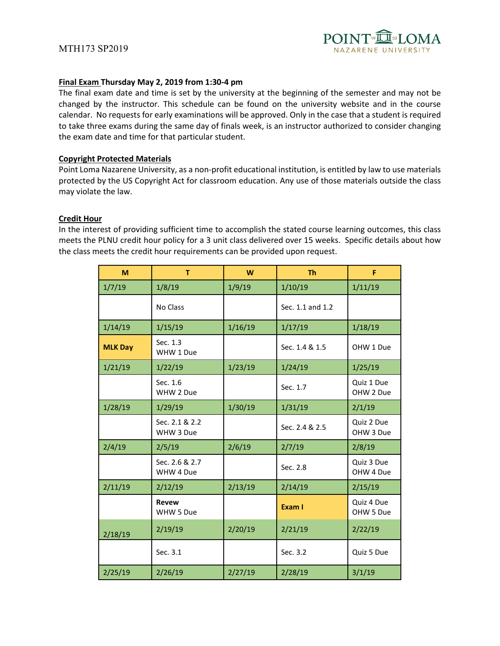

#### **Final Exam Thursday May 2, 2019 from 1:30-4 pm**

The final exam date and time is set by the university at the beginning of the semester and may not be changed by the instructor. This schedule can be found on the university website and in the course calendar. No requests for early examinations will be approved. Only in the case that a student is required to take three exams during the same day of finals week, is an instructor authorized to consider changing the exam date and time for that particular student.

#### **Copyright Protected Materials**

Point Loma Nazarene University, as a non-profit educational institution, is entitled by law to use materials protected by the US Copyright Act for classroom education. Any use of those materials outside the class may violate the law.

#### **Credit Hour**

In the interest of providing sufficient time to accomplish the stated course learning outcomes, this class meets the PLNU credit hour policy for a 3 unit class delivered over 15 weeks. Specific details about how the class meets the credit hour requirements can be provided upon request.

| M              | T                           | W       | <b>Th</b>        | F                       |
|----------------|-----------------------------|---------|------------------|-------------------------|
| 1/7/19         | 1/8/19                      | 1/9/19  | 1/10/19          | 1/11/19                 |
|                | No Class                    |         | Sec. 1.1 and 1.2 |                         |
| 1/14/19        | 1/15/19                     | 1/16/19 | 1/17/19          | 1/18/19                 |
| <b>MLK Day</b> | Sec. 1.3<br>WHW 1 Due       |         | Sec. 1.4 & 1.5   | OHW 1 Due               |
| 1/21/19        | 1/22/19                     | 1/23/19 | 1/24/19          | 1/25/19                 |
|                | Sec. 1.6<br>WHW 2 Due       |         | Sec. 1.7         | Quiz 1 Due<br>OHW 2 Due |
| 1/28/19        | 1/29/19                     | 1/30/19 | 1/31/19          | 2/1/19                  |
|                | Sec. 2.1 & 2.2<br>WHW 3 Due |         | Sec. 2.4 & 2.5   | Quiz 2 Due<br>OHW 3 Due |
| 2/4/19         | 2/5/19                      | 2/6/19  | 2/7/19           | 2/8/19                  |
|                | Sec. 2.6 & 2.7<br>WHW 4 Due |         | Sec. 2.8         | Quiz 3 Due<br>OHW 4 Due |
| 2/11/19        | 2/12/19                     | 2/13/19 | 2/14/19          | 2/15/19                 |
|                | <b>Revew</b><br>WHW 5 Due   |         | Exam I           | Quiz 4 Due<br>OHW 5 Due |
| 2/18/19        | 2/19/19                     | 2/20/19 | 2/21/19          | 2/22/19                 |
|                | Sec. 3.1                    |         | Sec. 3.2         | Quiz 5 Due              |
| 2/25/19        | 2/26/19                     | 2/27/19 | 2/28/19          | 3/1/19                  |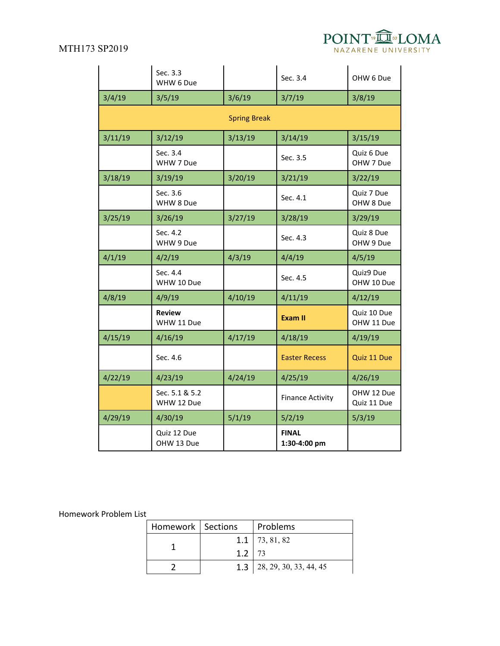

|         | Sec. 3.3<br>WHW 6 Due        |                     | Sec. 3.4                     | OHW 6 Due                 |
|---------|------------------------------|---------------------|------------------------------|---------------------------|
| 3/4/19  | 3/5/19                       | 3/6/19              | 3/7/19                       | 3/8/19                    |
|         |                              | <b>Spring Break</b> |                              |                           |
| 3/11/19 | 3/12/19                      | 3/13/19             | 3/14/19                      | 3/15/19                   |
|         | Sec. 3.4<br>WHW 7 Due        |                     | Sec. 3.5                     | Quiz 6 Due<br>OHW 7 Due   |
| 3/18/19 | 3/19/19                      | 3/20/19             | 3/21/19                      | 3/22/19                   |
|         | Sec. 3.6<br>WHW 8 Due        |                     | Sec. 4.1                     | Quiz 7 Due<br>OHW 8 Due   |
| 3/25/19 | 3/26/19                      | 3/27/19             | 3/28/19                      | 3/29/19                   |
|         | Sec. 4.2<br>WHW 9 Due        |                     | Sec. 4.3                     | Quiz 8 Due<br>OHW 9 Due   |
| 4/1/19  | 4/2/19                       | 4/3/19              | 4/4/19                       | 4/5/19                    |
|         | Sec. 4.4<br>WHW 10 Due       |                     | Sec. 4.5                     | Quiz9 Due<br>OHW 10 Due   |
| 4/8/19  | 4/9/19                       | 4/10/19             | 4/11/19                      | 4/12/19                   |
|         | <b>Review</b><br>WHW 11 Due  |                     | <b>Exam II</b>               | Quiz 10 Due<br>OHW 11 Due |
| 4/15/19 | 4/16/19                      | 4/17/19             | 4/18/19                      | 4/19/19                   |
|         | Sec. 4.6                     |                     | <b>Easter Recess</b>         | Quiz 11 Due               |
| 4/22/19 | 4/23/19                      | 4/24/19             | 4/25/19                      | 4/26/19                   |
|         | Sec. 5.1 & 5.2<br>WHW 12 Due |                     | <b>Finance Activity</b>      | OHW 12 Due<br>Quiz 11 Due |
| 4/29/19 | 4/30/19                      | 5/1/19              | 5/2/19                       | 5/3/19                    |
|         | Quiz 12 Due<br>OHW 13 Due    |                     | <b>FINAL</b><br>1:30-4:00 pm |                           |

# Homework Problem List

| Homework   Sections |          | Problems                     |
|---------------------|----------|------------------------------|
|                     |          | $1.1 \mid 73, 81, 82$        |
|                     | $1.2$ 73 |                              |
|                     |          | 1.3   28, 29, 30, 33, 44, 45 |